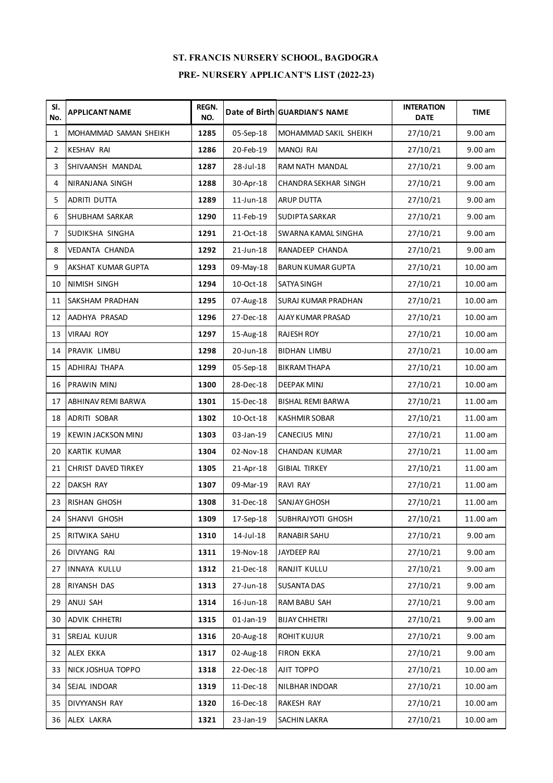| SI.<br>No.     | <b>APPLICANT NAME</b>     | REGN.<br>NO. |              | Date of Birth GUARDIAN'S NAME | <b>INTERATION</b><br><b>DATE</b> | <b>TIME</b> |
|----------------|---------------------------|--------------|--------------|-------------------------------|----------------------------------|-------------|
| 1              | MOHAMMAD SAMAN SHEIKH     | 1285         | 05-Sep-18    | MOHAMMAD SAKIL SHEIKH         | 27/10/21                         | 9.00 am     |
| $\overline{2}$ | <b>KESHAV RAI</b>         | 1286         | 20-Feb-19    | <b>MANOJ RAI</b>              | 27/10/21                         | 9.00 am     |
| 3              | SHIVAANSH MANDAL          | 1287         | 28-Jul-18    | RAM NATH MANDAL               | 27/10/21                         | 9.00 am     |
| 4              | NIRANJANA SINGH           | 1288         | 30-Apr-18    | CHANDRA SEKHAR SINGH          | 27/10/21                         | 9.00 am     |
| 5              | <b>ADRITI DUTTA</b>       | 1289         | $11$ -Jun-18 | <b>ARUP DUTTA</b>             | 27/10/21                         | 9.00 am     |
| 6              | <b>SHUBHAM SARKAR</b>     | 1290         | 11-Feb-19    | <b>SUDIPTA SARKAR</b>         | 27/10/21                         | $9.00$ am   |
| 7              | SUDIKSHA SINGHA           | 1291         | 21-Oct-18    | SWARNA KAMAL SINGHA           | 27/10/21                         | 9.00 am     |
| 8              | VEDANTA CHANDA            | 1292         | 21-Jun-18    | RANADEEP CHANDA               | 27/10/21                         | 9.00 am     |
| 9              | AKSHAT KUMAR GUPTA        | 1293         | 09-May-18    | <b>BARUN KUMAR GUPTA</b>      | 27/10/21                         | 10.00 am    |
| 10             | <b>NIMISH SINGH</b>       | 1294         | 10-Oct-18    | SATYA SINGH                   | 27/10/21                         | 10.00 am    |
| 11             | <b>SAKSHAM PRADHAN</b>    | 1295         | 07-Aug-18    | SURAJ KUMAR PRADHAN           | 27/10/21                         | 10.00 am    |
| 12             | AADHYA PRASAD             | 1296         | 27-Dec-18    | AJAY KUMAR PRASAD             | 27/10/21                         | 10.00 am    |
| 13             | <b>VIRAAJ ROY</b>         | 1297         | 15-Aug-18    | <b>RAJESH ROY</b>             | 27/10/21                         | 10.00 am    |
| 14             | PRAVIK LIMBU              | 1298         | 20-Jun-18    | <b>BIDHAN LIMBU</b>           | 27/10/21                         | 10.00 am    |
| 15             | <b>ADHIRAJ THAPA</b>      | 1299         | 05-Sep-18    | <b>BIKRAM THAPA</b>           | 27/10/21                         | 10.00 am    |
| 16             | <b>PRAWIN MINJ</b>        | 1300         | 28-Dec-18    | DEEPAK MINJ                   | 27/10/21                         | 10.00 am    |
| 17             | ABHINAV REMI BARWA        | 1301         | 15-Dec-18    | <b>BISHAL REMI BARWA</b>      | 27/10/21                         | 11.00 am    |
| 18             | ADRITI SOBAR              | 1302         | 10-Oct-18    | <b>KASHMIR SOBAR</b>          | 27/10/21                         | 11.00 am    |
| 19             | <b>KEWIN JACKSON MINJ</b> | 1303         | 03-Jan-19    | CANECIUS MINJ                 | 27/10/21                         | 11.00 am    |
| 20             | <b>KARTIK KUMAR</b>       | 1304         | 02-Nov-18    | CHANDAN KUMAR                 | 27/10/21                         | 11.00 am    |
| 21             | CHRIST DAVED TIRKEY       | 1305         | 21-Apr-18    | <b>GIBIAL TIRKEY</b>          | 27/10/21                         | 11.00 am    |
| 22             | <b>DAKSH RAY</b>          | 1307         | 09-Mar-19    | <b>RAVI RAY</b>               | 27/10/21                         | 11.00 am    |
| 23             | <b>RISHAN GHOSH</b>       | 1308         | 31-Dec-18    | SANJAY GHOSH                  | 27/10/21                         | 11.00 am    |
| 24             | SHANVI GHOSH              | 1309         | 17-Sep-18    | SUBHRAJYOTI GHOSH             | 27/10/21                         | 11.00 am    |
| 25             | RITWIKA SAHU              | 1310         | 14-Jul-18    | RANABIR SAHU                  | 27/10/21                         | 9.00 am     |
| 26             | <b>DIVYANG RAI</b>        | 1311         | 19-Nov-18    | JAYDEEP RAI                   | 27/10/21                         | 9.00 am     |
| 27             | INNAYA KULLU              | 1312         | 21-Dec-18    | RANJIT KULLU                  | 27/10/21                         | 9.00 am     |
| 28             | <b>RIYANSH DAS</b>        | 1313         | 27-Jun-18    | <b>SUSANTA DAS</b>            | 27/10/21                         | 9.00 am     |
| 29             | ANUJ SAH                  | 1314         | 16-Jun-18    | RAM BABU SAH                  | 27/10/21                         | 9.00 am     |
| 30             | <b>ADVIK CHHETRI</b>      | 1315         | $01$ -Jan-19 | <b>BIJAY CHHETRI</b>          | 27/10/21                         | 9.00 am     |
| 31             | SREJAL KUJUR              | 1316         | 20-Aug-18    | <b>ROHIT KUJUR</b>            | 27/10/21                         | 9.00 am     |
| 32             | ALEX EKKA                 | 1317         | 02-Aug-18    | <b>FIRON EKKA</b>             | 27/10/21                         | 9.00 am     |
| 33             | NICK JOSHUA TOPPO         | 1318         | 22-Dec-18    | AJIT TOPPO                    | 27/10/21                         | 10.00 am    |
| 34             | SEJAL INDOAR              | 1319         | 11-Dec-18    | NILBHAR INDOAR                | 27/10/21                         | 10.00 am    |
| 35             | DIVYYANSH RAY             | 1320         | 16-Dec-18    | RAKESH RAY                    | 27/10/21                         | 10.00 am    |
| 36             | ALEX LAKRA                | 1321         | 23-Jan-19    | SACHIN LAKRA                  | 27/10/21                         | 10.00 am    |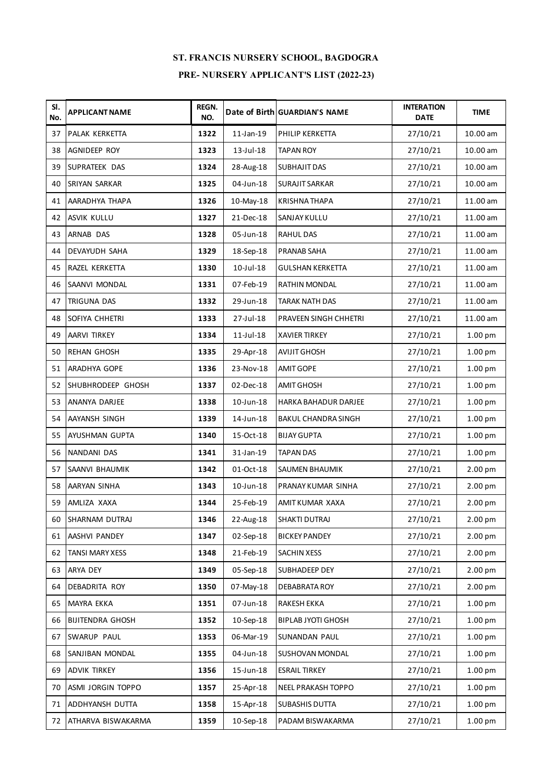| SI.<br>No. | <b>APPLICANT NAME</b>   | REGN.<br>NO. |                 | Date of Birth GUARDIAN'S NAME | <b>INTERATION</b><br><b>DATE</b> | <b>TIME</b>        |
|------------|-------------------------|--------------|-----------------|-------------------------------|----------------------------------|--------------------|
| 37         | PALAK KERKETTA          | 1322         | $11$ -Jan-19    | PHILIP KERKETTA               | 27/10/21                         | 10.00 am           |
| 38         | AGNIDEEP ROY            | 1323         | 13-Jul-18       | <b>TAPAN ROY</b>              | 27/10/21                         | 10.00 am           |
| 39         | SUPRATEEK DAS           | 1324         | 28-Aug-18       | SUBHAJIT DAS                  | 27/10/21                         | $10.00$ am         |
| 40         | SRIYAN SARKAR           | 1325         | 04-Jun-18       | <b>SURAJIT SARKAR</b>         | 27/10/21                         | 10.00 am           |
| 41         | AARADHYA THAPA          | 1326         | 10-May-18       | <b>KRISHNA THAPA</b>          | 27/10/21                         | 11.00 am           |
| 42         | <b>ASVIK KULLU</b>      | 1327         | 21-Dec-18       | SANJAY KULLU                  | 27/10/21                         | 11.00 am           |
| 43         | ARNAB DAS               | 1328         | 05-Jun-18       | <b>RAHUL DAS</b>              | 27/10/21                         | 11.00 am           |
| 44         | <b>DEVAYUDH SAHA</b>    | 1329         | 18-Sep-18       | PRANAB SAHA                   | 27/10/21                         | 11.00 am           |
| 45         | RAZEL KERKETTA          | 1330         | $10$ -Jul- $18$ | <b>GULSHAN KERKETTA</b>       | 27/10/21                         | 11.00 am           |
| 46         | <b>SAANVI MONDAL</b>    | 1331         | 07-Feb-19       | RATHIN MONDAL                 | 27/10/21                         | 11.00 am           |
| 47         | <b>TRIGUNA DAS</b>      | 1332         | 29-Jun-18       | <b>TARAK NATH DAS</b>         | 27/10/21                         | 11.00 am           |
| 48         | SOFIYA CHHETRI          | 1333         | 27-Jul-18       | PRAVEEN SINGH CHHETRI         | 27/10/21                         | 11.00 am           |
| 49         | <b>AARVI TIRKEY</b>     | 1334         | $11$ -Jul- $18$ | <b>XAVIER TIRKEY</b>          | 27/10/21                         | 1.00 pm            |
| 50         | <b>REHAN GHOSH</b>      | 1335         | 29-Apr-18       | <b>AVIJIT GHOSH</b>           | 27/10/21                         | 1.00 pm            |
| 51         | <b>ARADHYA GOPE</b>     | 1336         | 23-Nov-18       | <b>AMIT GOPE</b>              | 27/10/21                         | 1.00 pm            |
| 52         | SHUBHRODEEP GHOSH       | 1337         | 02-Dec-18       | <b>AMIT GHOSH</b>             | 27/10/21                         | 1.00 pm            |
| 53         | ANANYA DARJEE           | 1338         | $10$ -Jun- $18$ | HARKA BAHADUR DARJEE          | 27/10/21                         | 1.00 pm            |
| 54         | AAYANSH SINGH           | 1339         | 14-Jun-18       | <b>BAKUL CHANDRA SINGH</b>    | 27/10/21                         | 1.00 pm            |
| 55         | <b>AYUSHMAN GUPTA</b>   | 1340         | 15-Oct-18       | <b>BIJAY GUPTA</b>            | 27/10/21                         | 1.00 pm            |
| 56         | NANDANI DAS             | 1341         | 31-Jan-19       | <b>TAPAN DAS</b>              | 27/10/21                         | 1.00 pm            |
| 57         | SAANVI BHAUMIK          | 1342         | 01-Oct-18       | SAUMEN BHAUMIK                | 27/10/21                         | 2.00 pm            |
| 58         | AARYAN SINHA            | 1343         | $10$ -Jun- $18$ | PRANAY KUMAR SINHA            | 27/10/21                         | 2.00 pm            |
| 59         | AMLIZA XAXA             | 1344         | 25-Feb-19       | AMITKUMAR XAXA                | 27/10/21                         | 2.00 pm            |
| 60         | SHARNAM DUTRAJ          | 1346         | 22-Aug-18       | <b>SHAKTI DUTRAJ</b>          | 27/10/21                         | 2.00 pm            |
| 61         | AASHVI PANDEY           | 1347         | 02-Sep-18       | <b>BICKEY PANDEY</b>          | 27/10/21                         | 2.00 pm            |
| 62         | <b>TANSI MARY XESS</b>  | 1348         | 21-Feb-19       | SACHIN XESS                   | 27/10/21                         | 2.00 pm            |
| 63         | ARYA DEY                | 1349         | 05-Sep-18       | SUBHADEEP DEY                 | 27/10/21                         | 2.00 pm            |
| 64         | DEBADRITA ROY           | 1350         | 07-May-18       | DEBABRATA ROY                 | 27/10/21                         | 2.00 pm            |
| 65         | <b>MAYRA EKKA</b>       | 1351         | 07-Jun-18       | RAKESH EKKA                   | 27/10/21                         | 1.00 <sub>pm</sub> |
| 66         | <b>BIJITENDRA GHOSH</b> | 1352         | 10-Sep-18       | BIPLAB JYOTI GHOSH            | 27/10/21                         | 1.00 <sub>pm</sub> |
| 67         | SWARUP PAUL             | 1353         | 06-Mar-19       | SUNANDAN PAUL                 | 27/10/21                         | 1.00 <sub>pm</sub> |
| 68         | SANJIBAN MONDAL         | 1355         | 04-Jun-18       | SUSHOVAN MONDAL               | 27/10/21                         | 1.00 <sub>pm</sub> |
| 69         | <b>ADVIK TIRKEY</b>     | 1356         | 15-Jun-18       | <b>ESRAIL TIRKEY</b>          | 27/10/21                         | 1.00 <sub>pm</sub> |
| 70         | ASMI JORGIN TOPPO       | 1357         | 25-Apr-18       | NEEL PRAKASH TOPPO            | 27/10/21                         | 1.00 <sub>pm</sub> |
| 71         | ADDHYANSH DUTTA         | 1358         | 15-Apr-18       | <b>SUBASHIS DUTTA</b>         | 27/10/21                         | 1.00 pm            |
| 72         | ATHARVA BISWAKARMA      | 1359         | 10-Sep-18       | PADAM BISWAKARMA              | 27/10/21                         | 1.00 pm            |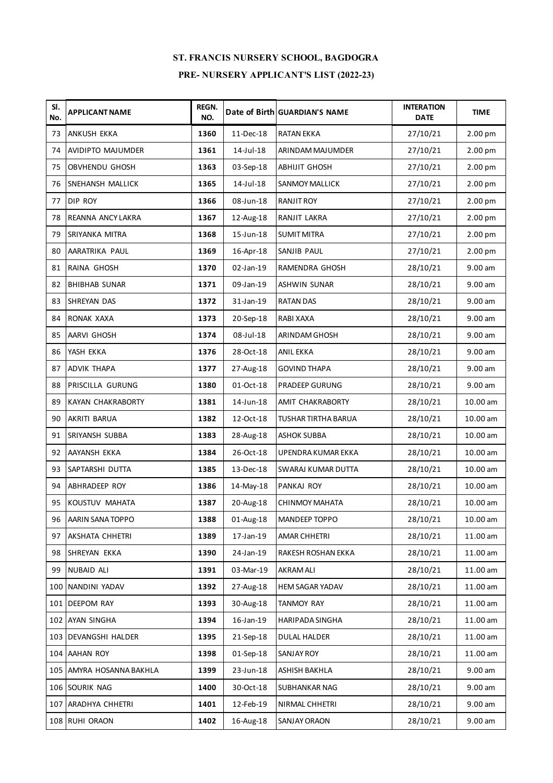| SI.<br>No. | <b>APPLICANT NAME</b>    | REGN.<br>NO. |                 | Date of Birth GUARDIAN'S NAME | <b>INTERATION</b><br><b>DATE</b> | <b>TIME</b>        |
|------------|--------------------------|--------------|-----------------|-------------------------------|----------------------------------|--------------------|
| 73         | <b>ANKUSH EKKA</b>       | 1360         | 11-Dec-18       | <b>RATAN EKKA</b>             | 27/10/21                         | 2.00 pm            |
| 74         | <b>AVIDIPTO MAJUMDER</b> | 1361         | 14-Jul-18       | ARINDAM MAJUMDER              | 27/10/21                         | 2.00 pm            |
| 75         | <b>OBVHENDU GHOSH</b>    | 1363         | 03-Sep-18       | <b>ABHIJIT GHOSH</b>          | 27/10/21                         | 2.00 <sub>pm</sub> |
| 76         | SNEHANSH MALLICK         | 1365         | 14-Jul-18       | <b>SANMOY MALLICK</b>         | 27/10/21                         | 2.00 pm            |
| 77         | <b>DIP ROY</b>           | 1366         | 08-Jun-18       | RANJIT ROY                    | 27/10/21                         | 2.00 pm            |
| 78         | <b>REANNA ANCY LAKRA</b> | 1367         | 12-Aug-18       | RANJIT LAKRA                  | 27/10/21                         | 2.00 pm            |
| 79         | SRIYANKA MITRA           | 1368         | 15-Jun-18       | <b>SUMIT MITRA</b>            | 27/10/21                         | 2.00 pm            |
| 80         | AARATRIKA PAUL           | 1369         | 16-Apr-18       | SANJIB PAUL                   | 27/10/21                         | 2.00 pm            |
| 81         | RAINA GHOSH              | 1370         | 02-Jan-19       | RAMENDRA GHOSH                | 28/10/21                         | 9.00 am            |
| 82         | <b>BHIBHAB SUNAR</b>     | 1371         | 09-Jan-19       | <b>ASHWIN SUNAR</b>           | 28/10/21                         | 9.00 am            |
| 83         | SHREYAN DAS              | 1372         | 31-Jan-19       | <b>RATAN DAS</b>              | 28/10/21                         | 9.00 am            |
| 84         | <b>RONAK XAXA</b>        | 1373         | 20-Sep-18       | RABI XAXA                     | 28/10/21                         | 9.00 am            |
| 85         | AARVI GHOSH              | 1374         | 08-Jul-18       | ARINDAM GHOSH                 | 28/10/21                         | 9.00 am            |
| 86         | YASH EKKA                | 1376         | 28-Oct-18       | <b>ANIL EKKA</b>              | 28/10/21                         | 9.00 am            |
| 87         | <b>ADVIK THAPA</b>       | 1377         | 27-Aug-18       | <b>GOVIND THAPA</b>           | 28/10/21                         | $9.00$ am          |
| 88         | PRISCILLA GURUNG         | 1380         | 01-Oct-18       | <b>PRADEEP GURUNG</b>         | 28/10/21                         | 9.00 am            |
| 89         | <b>KAYAN CHAKRABORTY</b> | 1381         | 14-Jun-18       | AMIT CHAKRABORTY              | 28/10/21                         | 10.00 am           |
| 90         | AKRITI BARUA             | 1382         | 12-Oct-18       | TUSHAR TIRTHA BARUA           | 28/10/21                         | 10.00 am           |
| 91         | <b>SRIYANSH SUBBA</b>    | 1383         | 28-Aug-18       | <b>ASHOK SUBBA</b>            | 28/10/21                         | 10.00 am           |
| 92         | AAYANSH EKKA             | 1384         | 26-Oct-18       | UPENDRA KUMAR EKKA            | 28/10/21                         | 10.00 am           |
| 93         | SAPTARSHI DUTTA          | 1385         | 13-Dec-18       | SWARAJ KUMAR DUTTA            | 28/10/21                         | 10.00 am           |
| 94         | ABHRADEEP ROY            | 1386         | 14-May-18       | PANKAJ ROY                    | 28/10/21                         | 10.00 am           |
| 95         | KOUSTUV MAHATA           | 1387         | 20-Aug-18       | <b>CHINMOY MAHATA</b>         | 28/10/21                         | 10.00 am           |
| 96         | AARIN SANA TOPPO         | 1388         | 01-Aug-18       | MANDEEP TOPPO                 | 28/10/21                         | 10.00 am           |
| 97         | AKSHATA CHHETRI          | 1389         | 17-Jan-19       | AMAR CHHETRI                  | 28/10/21                         | 11.00 am           |
| 98         | SHREYAN EKKA             | 1390         | 24-Jan-19       | RAKESH ROSHAN EKKA            | 28/10/21                         | 11.00 am           |
| 99         | <b>NUBAID ALI</b>        | 1391         | 03-Mar-19       | <b>AKRAM ALI</b>              | 28/10/21                         | 11.00 am           |
|            | 100 NANDINI YADAV        | 1392         | 27-Aug-18       | HEM SAGAR YADAV               | 28/10/21                         | 11.00 am           |
|            | 101 DEEPOM RAY           | 1393         | 30-Aug-18       | <b>TANMOY RAY</b>             | 28/10/21                         | 11.00 am           |
|            | 102 AYAN SINGHA          | 1394         | $16$ -Jan- $19$ | HARIPADA SINGHA               | 28/10/21                         | 11.00 am           |
|            | 103 DEVANGSHI HALDER     | 1395         | 21-Sep-18       | <b>DULAL HALDER</b>           | 28/10/21                         | 11.00 am           |
|            | 104 AAHAN ROY            | 1398         | 01-Sep-18       | <b>SANJAY ROY</b>             | 28/10/21                         | 11.00 am           |
|            | 105 AMYRA HOSANNA BAKHLA | 1399         | 23-Jun-18       | ASHISH BAKHLA                 | 28/10/21                         | 9.00 am            |
|            | 106 SOURIK NAG           | 1400         | 30-Oct-18       | SUBHANKAR NAG                 | 28/10/21                         | 9.00 am            |
|            | 107 ARADHYA CHHETRI      | 1401         | 12-Feb-19       | NIRMAL CHHETRI                | 28/10/21                         | 9.00 am            |
|            | 108 RUHI ORAON           | 1402         | 16-Aug-18       | SANJAY ORAON                  | 28/10/21                         | 9.00 am            |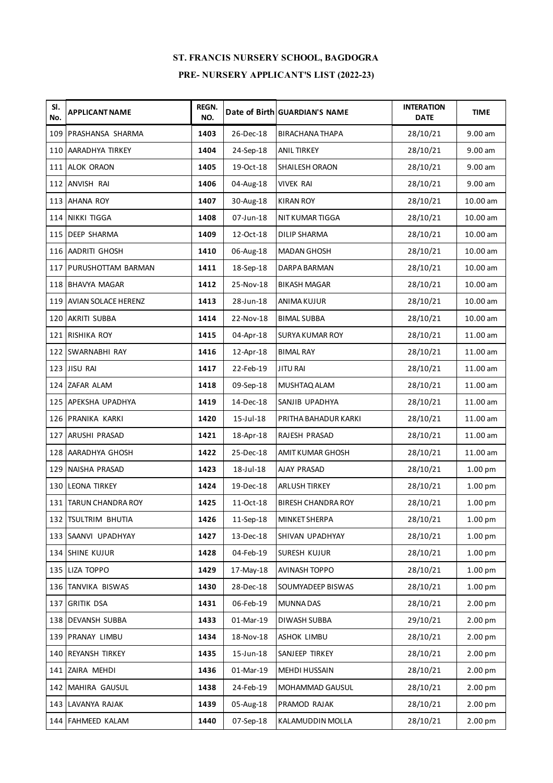| SI.<br>No. | <b>APPLICANT NAME</b>   | <b>REGN.</b><br>NO. |           | Date of Birth GUARDIAN'S NAME | <b>INTERATION</b><br><b>DATE</b> | <b>TIME</b>        |
|------------|-------------------------|---------------------|-----------|-------------------------------|----------------------------------|--------------------|
|            | 109 PRASHANSA SHARMA    | 1403                | 26-Dec-18 | BIRACHANA THAPA               | 28/10/21                         | 9.00 am            |
|            | 110 AARADHYA TIRKEY     | 1404                | 24-Sep-18 | <b>ANIL TIRKEY</b>            | 28/10/21                         | 9.00 am            |
|            | 111 ALOK ORAON          | 1405                | 19-Oct-18 | SHAILESH ORAON                | 28/10/21                         | 9.00 am            |
|            | 112 ANVISH RAI          | 1406                | 04-Aug-18 | <b>VIVEK RAI</b>              | 28/10/21                         | 9.00 am            |
|            | 113 AHANA ROY           | 1407                | 30-Aug-18 | <b>KIRAN ROY</b>              | 28/10/21                         | 10.00 am           |
|            | 114 NIKKI TIGGA         | 1408                | 07-Jun-18 | NIT KUMAR TIGGA               | 28/10/21                         | 10.00 am           |
|            | 115 DEEP SHARMA         | 1409                | 12-Oct-18 | <b>DILIP SHARMA</b>           | 28/10/21                         | 10.00 am           |
|            | 116 AADRITI GHOSH       | 1410                | 06-Aug-18 | <b>MADAN GHOSH</b>            | 28/10/21                         | 10.00 am           |
|            | 117 PURUSHOTTAM BARMAN  | 1411                | 18-Sep-18 | DARPA BARMAN                  | 28/10/21                         | 10.00 am           |
|            | 118 BHAVYA MAGAR        | 1412                | 25-Nov-18 | <b>BIKASH MAGAR</b>           | 28/10/21                         | 10.00 am           |
|            | 119 AVIAN SOLACE HERENZ | 1413                | 28-Jun-18 | ANIMA KUJUR                   | 28/10/21                         | 10.00 am           |
|            | 120 AKRITI SUBBA        | 1414                | 22-Nov-18 | <b>BIMAL SUBBA</b>            | 28/10/21                         | 10.00 am           |
|            | 121 RISHIKA ROY         | 1415                | 04-Apr-18 | <b>SURYA KUMAR ROY</b>        | 28/10/21                         | 11.00 am           |
|            | 122 SWARNABHI RAY       | 1416                | 12-Apr-18 | <b>BIMAL RAY</b>              | 28/10/21                         | 11.00 am           |
|            | 123 JISU RAI            | 1417                | 22-Feb-19 | <b>JITU RAI</b>               | 28/10/21                         | 11.00 am           |
|            | 124 ZAFAR ALAM          | 1418                | 09-Sep-18 | MUSHTAQ ALAM                  | 28/10/21                         | 11.00 am           |
|            | 125 APEKSHA UPADHYA     | 1419                | 14-Dec-18 | SANJIB UPADHYA                | 28/10/21                         | 11.00 am           |
|            | 126 PRANIKA KARKI       | 1420                | 15-Jul-18 | PRITHA BAHADUR KARKI          | 28/10/21                         | 11.00 am           |
|            | 127 ARUSHI PRASAD       | 1421                | 18-Apr-18 | RAJESH PRASAD                 | 28/10/21                         | 11.00 am           |
|            | 128 AARADHYA GHOSH      | 1422                | 25-Dec-18 | AMIT KUMAR GHOSH              | 28/10/21                         | 11.00 am           |
|            | 129 NAISHA PRASAD       | 1423                | 18-Jul-18 | AJAY PRASAD                   | 28/10/21                         | 1.00 pm            |
|            | 130 LEONA TIRKEY        | 1424                | 19-Dec-18 | <b>ARLUSH TIRKEY</b>          | 28/10/21                         | 1.00 pm            |
|            | 131 TARUN CHANDRA ROY   | 1425                | 11-Oct-18 | <b>BIRESH CHANDRA ROY</b>     | 28/10/21                         | 1.00 pm            |
|            | 132 TSULTRIM BHUTIA     | 1426                | 11-Sep-18 | <b>MINKET SHERPA</b>          | 28/10/21                         | 1.00 <sub>pm</sub> |
|            | 133 SAANVI UPADHYAY     | 1427                | 13-Dec-18 | SHIVAN UPADHYAY               | 28/10/21                         | 1.00 <sub>pm</sub> |
|            | 134 SHINE KUJUR         | 1428                | 04-Feb-19 | SURESH KUJUR                  | 28/10/21                         | 1.00 <sub>pm</sub> |
|            | 135 LIZA TOPPO          | 1429                | 17-May-18 | AVINASH TOPPO                 | 28/10/21                         | 1.00 <sub>pm</sub> |
|            | 136 TANVIKA BISWAS      | 1430                | 28-Dec-18 | SOUMYADEEP BISWAS             | 28/10/21                         | 1.00 <sub>pm</sub> |
|            | 137 GRITIK DSA          | 1431                | 06-Feb-19 | <b>MUNNA DAS</b>              | 28/10/21                         | 2.00 pm            |
|            | 138 DEVANSH SUBBA       | 1433                | 01-Mar-19 | DIWASH SUBBA                  | 29/10/21                         | 2.00 <sub>pm</sub> |
|            | 139 PRANAY LIMBU        | 1434                | 18-Nov-18 | ASHOK LIMBU                   | 28/10/21                         | 2.00 pm            |
|            | 140 REYANSH TIRKEY      | 1435                | 15-Jun-18 | SANJEEP TIRKEY                | 28/10/21                         | 2.00 <sub>pm</sub> |
|            | 141 ZAIRA MEHDI         | 1436                | 01-Mar-19 | <b>MEHDI HUSSAIN</b>          | 28/10/21                         | 2.00 pm            |
|            | 142 MAHIRA GAUSUL       | 1438                | 24-Feb-19 | MOHAMMAD GAUSUL               | 28/10/21                         | 2.00 pm            |
|            | 143 LAVANYA RAJAK       | 1439                | 05-Aug-18 | PRAMOD RAJAK                  | 28/10/21                         | 2.00 pm            |
|            | 144 FAHMEED KALAM       | 1440                | 07-Sep-18 | KALAMUDDIN MOLLA              | 28/10/21                         | 2.00 pm            |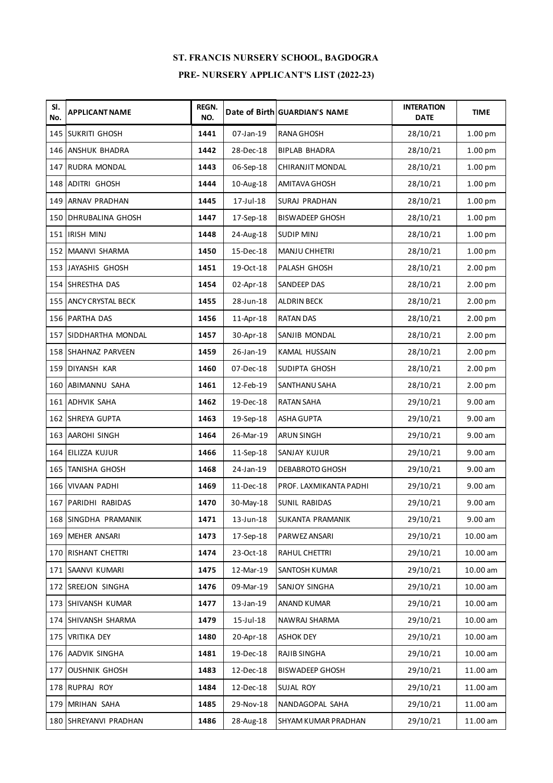| SI.<br>No. | <b>APPLICANT NAME</b>        | REGN.<br>NO. |              | Date of Birth GUARDIAN'S NAME | <b>INTERATION</b><br><b>DATE</b> | <b>TIME</b>        |
|------------|------------------------------|--------------|--------------|-------------------------------|----------------------------------|--------------------|
|            | 145 SUKRITI GHOSH            | 1441         | 07-Jan-19    | <b>RANA GHOSH</b>             | 28/10/21                         | 1.00 pm            |
|            | 146 ANSHUK BHADRA            | 1442         | 28-Dec-18    | <b>BIPLAB BHADRA</b>          | 28/10/21                         | 1.00 pm            |
|            | 147 RUDRA MONDAL             | 1443         | 06-Sep-18    | CHIRANJIT MONDAL              | 28/10/21                         | 1.00 <sub>pm</sub> |
|            | 148 ADITRI GHOSH             | 1444         | 10-Aug-18    | <b>AMITAVA GHOSH</b>          | 28/10/21                         | 1.00 pm            |
|            | 149 ARNAV PRADHAN            | 1445         | 17-Jul-18    | SURAJ PRADHAN                 | 28/10/21                         | 1.00 <sub>pm</sub> |
|            | <b>150 DHRUBALINA GHOSH</b>  | 1447         | 17-Sep-18    | <b>BISWADEEP GHOSH</b>        | 28/10/21                         | 1.00 pm            |
|            | 151 IRISH MINJ               | 1448         | 24-Aug-18    | <b>SUDIP MINJ</b>             | 28/10/21                         | 1.00 <sub>pm</sub> |
|            | 152 MAANVI SHARMA            | 1450         | 15-Dec-18    | MANJU CHHETRI                 | 28/10/21                         | 1.00 pm            |
|            | 153 JAYASHIS GHOSH           | 1451         | 19-Oct-18    | PALASH GHOSH                  | 28/10/21                         | 2.00 <sub>pm</sub> |
|            | 154 SHRESTHA DAS             | 1454         | 02-Apr-18    | SANDEEP DAS                   | 28/10/21                         | 2.00 pm            |
|            | <b>155 ANCY CRYSTAL BECK</b> | 1455         | 28-Jun-18    | <b>ALDRIN BECK</b>            | 28/10/21                         | 2.00 pm            |
|            | 156 PARTHA DAS               | 1456         | 11-Apr-18    | <b>RATAN DAS</b>              | 28/10/21                         | 2.00 pm            |
|            | 157 SIDDHARTHA MONDAL        | 1457         | 30-Apr-18    | SANJIB MONDAL                 | 28/10/21                         | 2.00 pm            |
|            | 158 SHAHNAZ PARVEEN          | 1459         | 26-Jan-19    | KAMAL HUSSAIN                 | 28/10/21                         | 2.00 pm            |
|            | 159 DIYANSH KAR              | 1460         | 07-Dec-18    | SUDIPTA GHOSH                 | 28/10/21                         | 2.00 pm            |
|            | 160 ABIMANNU SAHA            | 1461         | 12-Feb-19    | SANTHANU SAHA                 | 28/10/21                         | 2.00 pm            |
|            | 161 ADHVIK SAHA              | 1462         | 19-Dec-18    | <b>RATAN SAHA</b>             | 29/10/21                         | 9.00 am            |
|            | 162 SHREYA GUPTA             | 1463         | 19-Sep-18    | ASHA GUPTA                    | 29/10/21                         | 9.00 am            |
|            | 163 AAROHI SINGH             | 1464         | 26-Mar-19    | <b>ARUN SINGH</b>             | 29/10/21                         | 9.00 am            |
|            | 164 EILIZZA KUJUR            | 1466         | 11-Sep-18    | SANJAY KUJUR                  | 29/10/21                         | 9.00 am            |
|            | 165 TANISHA GHOSH            | 1468         | 24-Jan-19    | <b>DEBABROTO GHOSH</b>        | 29/10/21                         | 9.00 am            |
|            | 166 VIVAAN PADHI             | 1469         | 11-Dec-18    | PROF. LAXMIKANTA PADHI        | 29/10/21                         | 9.00 am            |
|            | 167 PARIDHI RABIDAS          | 1470         | 30-May-18    | SUNIL RABIDAS                 | 29/10/21                         | 9.00 am            |
|            | 168 SINGDHA PRAMANIK         | 1471         | 13-Jun-18    | SUKANTA PRAMANIK              | 29/10/21                         | 9.00 am            |
|            | 169 MEHER ANSARI             | 1473         | 17-Sep-18    | PARWEZ ANSARI                 | 29/10/21                         | 10.00 am           |
|            | 170 RISHANT CHETTRI          | 1474         | 23-Oct-18    | RAHUL CHETTRI                 | 29/10/21                         | 10.00 am           |
|            | 171 SAANVI KUMARI            | 1475         | 12-Mar-19    | SANTOSH KUMAR                 | 29/10/21                         | 10.00 am           |
|            | 172 SREEJON SINGHA           | 1476         | 09-Mar-19    | SANJOY SINGHA                 | 29/10/21                         | 10.00 am           |
|            | 173 SHIVANSH KUMAR           | 1477         | $13$ -Jan-19 | ANAND KUMAR                   | 29/10/21                         | 10.00 am           |
|            | 174 SHIVANSH SHARMA          | 1479         | 15-Jul-18    | NAWRAJ SHARMA                 | 29/10/21                         | 10.00 am           |
|            | 175 VRITIKA DEY              | 1480         | 20-Apr-18    | <b>ASHOK DEY</b>              | 29/10/21                         | 10.00 am           |
|            | 176 AADVIK SINGHA            | 1481         | 19-Dec-18    | RAJIB SINGHA                  | 29/10/21                         | 10.00 am           |
| 177        | <b>OUSHNIK GHOSH</b>         | 1483         | 12-Dec-18    | <b>BISWADEEP GHOSH</b>        | 29/10/21                         | 11.00 am           |
|            | 178 RUPRAJ ROY               | 1484         | 12-Dec-18    | SUJAL ROY                     | 29/10/21                         | 11.00 am           |
|            | 179 MRIHAN SAHA              | 1485         | 29-Nov-18    | NANDAGOPAL SAHA               | 29/10/21                         | 11.00 am           |
|            | 180 SHREYANVI PRADHAN        | 1486         | 28-Aug-18    | SHYAM KUMAR PRADHAN           | 29/10/21                         | 11.00 am           |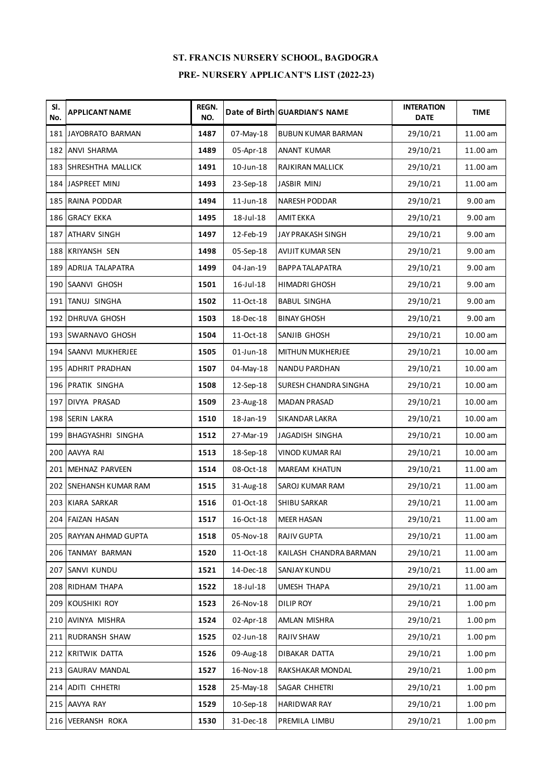| SI.<br>No. | <b>APPLICANT NAME</b>  | <b>REGN.</b><br>NO. |                 | Date of Birth GUARDIAN'S NAME | <b>INTERATION</b><br><b>DATE</b> | <b>TIME</b>        |
|------------|------------------------|---------------------|-----------------|-------------------------------|----------------------------------|--------------------|
|            | 181 JAYOBRATO BARMAN   | 1487                | 07-May-18       | <b>BUBUN KUMAR BARMAN</b>     | 29/10/21                         | 11.00 am           |
|            | 182 ANVI SHARMA        | 1489                | 05-Apr-18       | ANANT KUMAR                   | 29/10/21                         | 11.00 am           |
|            | 183 SHRESHTHA MALLICK  | 1491                | 10-Jun-18       | RAJKIRAN MALLICK              | 29/10/21                         | 11.00 am           |
|            | 184 JASPREET MINJ      | 1493                | 23-Sep-18       | <b>JASBIR MINJ</b>            | 29/10/21                         | 11.00 am           |
|            | 185 RAINA PODDAR       | 1494                | $11$ -Jun-18    | <b>NARESH PODDAR</b>          | 29/10/21                         | $9.00$ am          |
|            | 186 GRACY EKKA         | 1495                | 18-Jul-18       | AMIT EKKA                     | 29/10/21                         | 9.00 am            |
| 187        | <b>ATHARV SINGH</b>    | 1497                | 12-Feb-19       | JAY PRAKASH SINGH             | 29/10/21                         | 9.00 am            |
|            | 188 KRIYANSH SEN       | 1498                | 05-Sep-18       | AVIJIT KUMAR SEN              | 29/10/21                         | 9.00 am            |
|            | 189 ADRIJA TALAPATRA   | 1499                | 04-Jan-19       | <b>BAPPA TALAPATRA</b>        | 29/10/21                         | 9.00 am            |
|            | 190 SAANVI GHOSH       | 1501                | $16$ -Jul- $18$ | <b>HIMADRI GHOSH</b>          | 29/10/21                         | 9.00 am            |
|            | 191 TANUJ SINGHA       | 1502                | 11-Oct-18       | <b>BABUL SINGHA</b>           | 29/10/21                         | 9.00 am            |
|            | 192 DHRUVA GHOSH       | 1503                | 18-Dec-18       | <b>BINAY GHOSH</b>            | 29/10/21                         | 9.00 am            |
|            | 193 SWARNAVO GHOSH     | 1504                | 11-Oct-18       | SANJIB GHOSH                  | 29/10/21                         | 10.00 am           |
|            | 194 SAANVI MUKHERJEE   | 1505                | $01$ -Jun-18    | MITHUN MUKHERJEE              | 29/10/21                         | 10.00 am           |
|            | 195 ADHRIT PRADHAN     | 1507                | 04-May-18       | NANDU PARDHAN                 | 29/10/21                         | 10.00 am           |
|            | 196 PRATIK SINGHA      | 1508                | 12-Sep-18       | SURESH CHANDRA SINGHA         | 29/10/21                         | 10.00 am           |
|            | 197 DIVYA PRASAD       | 1509                | 23-Aug-18       | <b>MADAN PRASAD</b>           | 29/10/21                         | 10.00 am           |
|            | 198 SERIN LAKRA        | 1510                | 18-Jan-19       | SIKANDAR LAKRA                | 29/10/21                         | 10.00 am           |
|            | 199 BHAGYASHRI SINGHA  | 1512                | 27-Mar-19       | JAGADISH SINGHA               | 29/10/21                         | 10.00 am           |
|            | 200 AAVYA RAI          | 1513                | 18-Sep-18       | VINOD KUMAR RAI               | 29/10/21                         | 10.00 am           |
|            | 201 MEHNAZ PARVEEN     | 1514                | 08-Oct-18       | <b>MAREAM KHATUN</b>          | 29/10/21                         | 11.00 am           |
|            | 202 SNEHANSH KUMAR RAM | 1515                | 31-Aug-18       | SAROJ KUMAR RAM               | 29/10/21                         | 11.00 am           |
|            | 203 KIARA SARKAR       | 1516                | 01-Oct-18       | SHIBU SARKAR                  | 29/10/21                         | 11.00 am           |
|            | 204 FAIZAN HASAN       | 1517                | 16-Oct-18       | <b>MEER HASAN</b>             | 29/10/21                         | 11.00 am           |
|            | 205 RAYYAN AHMAD GUPTA | 1518                | 05-Nov-18       | <b>RAJIV GUPTA</b>            | 29/10/21                         | 11.00 am           |
|            | 206 TANMAY BARMAN      | 1520                | 11-Oct-18       | KAILASH CHANDRA BARMAN        | 29/10/21                         | 11.00 am           |
|            | 207 SANVI KUNDU        | 1521                | 14-Dec-18       | SANJAY KUNDU                  | 29/10/21                         | 11.00 am           |
|            | 208 RIDHAM THAPA       | 1522                | 18-Jul-18       | UMESH THAPA                   | 29/10/21                         | 11.00 am           |
|            | 209 KOUSHIKI ROY       | 1523                | 26-Nov-18       | <b>DILIP ROY</b>              | 29/10/21                         | 1.00 <sub>pm</sub> |
|            | 210 AVINYA MISHRA      | 1524                | 02-Apr-18       | AMLAN MISHRA                  | 29/10/21                         | 1.00 <sub>pm</sub> |
|            | 211 RUDRANSH SHAW      | 1525                | 02-Jun-18       | RAJIV SHAW                    | 29/10/21                         | 1.00 <sub>pm</sub> |
|            | 212 KRITWIK DATTA      | 1526                | 09-Aug-18       | DIBAKAR DATTA                 | 29/10/21                         | 1.00 <sub>pm</sub> |
|            | 213 GAURAV MANDAL      | 1527                | 16-Nov-18       | RAKSHAKAR MONDAL              | 29/10/21                         | 1.00 <sub>pm</sub> |
|            | 214 ADITI CHHETRI      | 1528                | 25-May-18       | SAGAR CHHETRI                 | 29/10/21                         | 1.00 <sub>pm</sub> |
|            | 215 AAVYA RAY          | 1529                | 10-Sep-18       | <b>HARIDWAR RAY</b>           | 29/10/21                         | 1.00 <sub>pm</sub> |
|            | 216 VEERANSH ROKA      | 1530                | 31-Dec-18       | PREMILA LIMBU                 | 29/10/21                         | 1.00 <sub>pm</sub> |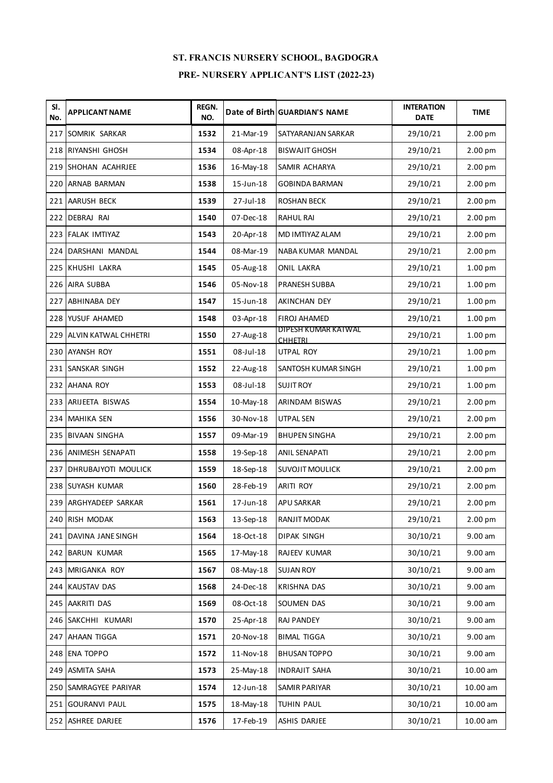| SI.<br>No. | <b>APPLICANT NAME</b>    | <b>REGN.</b><br>NO. |           | Date of Birth GUARDIAN'S NAME         | <b>INTERATION</b><br><b>DATE</b> | <b>TIME</b>        |
|------------|--------------------------|---------------------|-----------|---------------------------------------|----------------------------------|--------------------|
|            | 217 SOMRIK SARKAR        | 1532                | 21-Mar-19 | SATYARANJAN SARKAR                    | 29/10/21                         | 2.00 pm            |
|            | 218 RIYANSHI GHOSH       | 1534                | 08-Apr-18 | <b>BISWAJIT GHOSH</b>                 | 29/10/21                         | 2.00 pm            |
|            | 219 SHOHAN ACAHRJEE      | 1536                | 16-May-18 | SAMIR ACHARYA                         | 29/10/21                         | 2.00 <sub>pm</sub> |
|            | 220 ARNAB BARMAN         | 1538                | 15-Jun-18 | <b>GOBINDA BARMAN</b>                 | 29/10/21                         | 2.00 pm            |
|            | 221 AARUSH BECK          | 1539                | 27-Jul-18 | <b>ROSHAN BECK</b>                    | 29/10/21                         | 2.00 pm            |
|            | 222 DEBRAJ RAI           | 1540                | 07-Dec-18 | <b>RAHUL RAI</b>                      | 29/10/21                         | 2.00 pm            |
|            | 223 FALAK IMTIYAZ        | 1543                | 20-Apr-18 | MD IMTIYAZ ALAM                       | 29/10/21                         | 2.00 pm            |
|            | 224 DARSHANI MANDAL      | 1544                | 08-Mar-19 | NABA KUMAR MANDAL                     | 29/10/21                         | 2.00 pm            |
|            | 225 KHUSHI LAKRA         | 1545                | 05-Aug-18 | <b>ONIL LAKRA</b>                     | 29/10/21                         | 1.00 pm            |
|            | 226 AIRA SUBBA           | 1546                | 05-Nov-18 | PRANESH SUBBA                         | 29/10/21                         | 1.00 pm            |
|            | 227 ABHINABA DEY         | 1547                | 15-Jun-18 | AKINCHAN DEY                          | 29/10/21                         | 1.00 <sub>pm</sub> |
|            | 228 YUSUF AHAMED         | 1548                | 03-Apr-18 | FIROJ AHAMED                          | 29/10/21                         | 1.00 pm            |
|            | 229 ALVIN KATWAL CHHETRI | 1550                | 27-Aug-18 | DIPESH KUMAR KATWAL<br><b>CHHETRI</b> | 29/10/21                         | 1.00 <sub>pm</sub> |
|            | 230 AYANSH ROY           | 1551                | 08-Jul-18 | <b>UTPAL ROY</b>                      | 29/10/21                         | 1.00 <sub>pm</sub> |
|            | 231 SANSKAR SINGH        | 1552                | 22-Aug-18 | SANTOSH KUMAR SINGH                   | 29/10/21                         | 1.00 <sub>pm</sub> |
|            | 232 AHANA ROY            | 1553                | 08-Jul-18 | <b>SUJIT ROY</b>                      | 29/10/21                         | 1.00 pm            |
|            | 233 ARIJEETA BISWAS      | 1554                | 10-May-18 | ARINDAM BISWAS                        | 29/10/21                         | 2.00 <sub>pm</sub> |
|            | 234 MAHIKA SEN           | 1556                | 30-Nov-18 | UTPAL SEN                             | 29/10/21                         | 2.00 pm            |
|            | 235 BIVAAN SINGHA        | 1557                | 09-Mar-19 | <b>BHUPEN SINGHA</b>                  | 29/10/21                         | 2.00 <sub>pm</sub> |
|            | 236 ANIMESH SENAPATI     | 1558                | 19-Sep-18 | <b>ANIL SENAPATI</b>                  | 29/10/21                         | 2.00 pm            |
|            | 237 DHRUBAJYOTI MOULICK  | 1559                | 18-Sep-18 | <b>SUVOJIT MOULICK</b>                | 29/10/21                         | 2.00 pm            |
|            | 238 SUYASH KUMAR         | 1560                | 28-Feb-19 | <b>ARITI ROY</b>                      | 29/10/21                         | 2.00 pm            |
|            | 239 ARGHYADEEP SARKAR    | 1561                | 17-Jun-18 | <b>APU SARKAR</b>                     | 29/10/21                         | 2.00 pm            |
|            | 240 RISH MODAK           | 1563                | 13-Sep-18 | RANJIT MODAK                          | 29/10/21                         | 2.00 pm            |
|            | 241 DAVINA JANE SINGH    | 1564                | 18-Oct-18 | <b>DIPAK SINGH</b>                    | 30/10/21                         | 9.00 am            |
|            | 242 BARUN KUMAR          | 1565                | 17-May-18 | RAJEEV KUMAR                          | 30/10/21                         | 9.00 am            |
|            | 243 MRIGANKA ROY         | 1567                | 08-May-18 | <b>SUJAN ROY</b>                      | 30/10/21                         | 9.00 am            |
|            | 244 KAUSTAV DAS          | 1568                | 24-Dec-18 | <b>KRISHNA DAS</b>                    | 30/10/21                         | 9.00 am            |
|            | 245 AAKRITI DAS          | 1569                | 08-Oct-18 | SOUMEN DAS                            | 30/10/21                         | 9.00 am            |
|            | 246 SAKCHHI KUMARI       | 1570                | 25-Apr-18 | <b>RAJ PANDEY</b>                     | 30/10/21                         | 9.00 am            |
|            | 247 AHAAN TIGGA          | 1571                | 20-Nov-18 | <b>BIMAL TIGGA</b>                    | 30/10/21                         | 9.00 am            |
|            | 248 ENA TOPPO            | 1572                | 11-Nov-18 | <b>BHUSAN TOPPO</b>                   | 30/10/21                         | 9.00 am            |
|            | 249 ASMITA SAHA          | 1573                | 25-May-18 | <b>INDRAJIT SAHA</b>                  | 30/10/21                         | 10.00 am           |
|            | 250 SAMRAGYEE PARIYAR    | 1574                | 12-Jun-18 | SAMIR PARIYAR                         | 30/10/21                         | 10.00 am           |
|            | 251 GOURANVI PAUL        | 1575                | 18-May-18 | TUHIN PAUL                            | 30/10/21                         | 10.00 am           |
|            | 252 ASHREE DARJEE        | 1576                | 17-Feb-19 | ASHIS DARJEE                          | 30/10/21                         | $10.00$ am         |